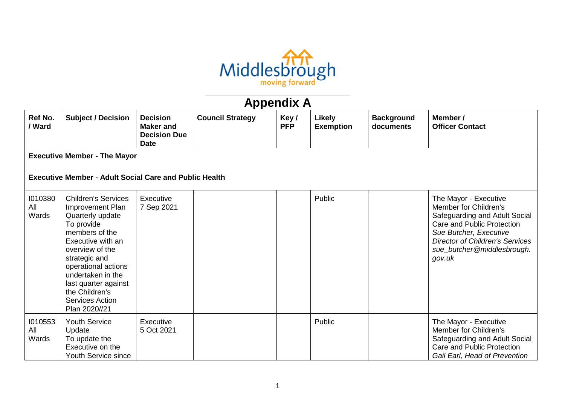

## **Appendix A**

| Ref No.<br>/ Ward                                  | <b>Subject / Decision</b>                                                                                                                                                                                                                                                             | <b>Decision</b><br><b>Maker</b> and<br><b>Decision Due</b> | <b>Council Strategy</b> | Key/<br><b>PFP</b> | <b>Likely</b><br><b>Exemption</b> | <b>Background</b><br>documents | Member /<br><b>Officer Contact</b>                                                                                                                                                                                        |  |  |  |
|----------------------------------------------------|---------------------------------------------------------------------------------------------------------------------------------------------------------------------------------------------------------------------------------------------------------------------------------------|------------------------------------------------------------|-------------------------|--------------------|-----------------------------------|--------------------------------|---------------------------------------------------------------------------------------------------------------------------------------------------------------------------------------------------------------------------|--|--|--|
| <b>Date</b><br><b>Executive Member - The Mayor</b> |                                                                                                                                                                                                                                                                                       |                                                            |                         |                    |                                   |                                |                                                                                                                                                                                                                           |  |  |  |
|                                                    | <b>Executive Member - Adult Social Care and Public Health</b>                                                                                                                                                                                                                         |                                                            |                         |                    |                                   |                                |                                                                                                                                                                                                                           |  |  |  |
| 1010380<br>All<br>Wards                            | <b>Children's Services</b><br>Improvement Plan<br>Quarterly update<br>To provide<br>members of the<br>Executive with an<br>overview of the<br>strategic and<br>operational actions<br>undertaken in the<br>last quarter against<br>the Children's<br>Services Action<br>Plan 2020//21 | Executive<br>7 Sep 2021                                    |                         |                    | Public                            |                                | The Mayor - Executive<br>Member for Children's<br>Safeguarding and Adult Social<br>Care and Public Protection<br>Sue Butcher, Executive<br><b>Director of Children's Services</b><br>sue_butcher@middlesbrough.<br>gov.uk |  |  |  |
| 1010553<br>All<br>Wards                            | <b>Youth Service</b><br>Update<br>To update the<br>Executive on the<br>Youth Service since                                                                                                                                                                                            | <b>Executive</b><br>5 Oct 2021                             |                         |                    | Public                            |                                | The Mayor - Executive<br>Member for Children's<br>Safeguarding and Adult Social<br>Care and Public Protection<br>Gail Earl, Head of Prevention                                                                            |  |  |  |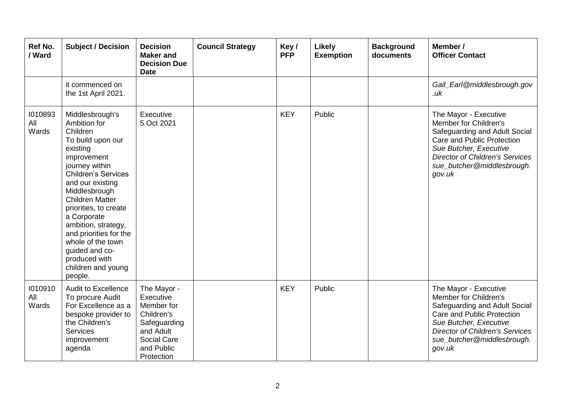| Ref No.<br>/ Ward       | <b>Subject / Decision</b>                                                                                                                                                                                                                                                                                                                                                                    | <b>Decision</b><br><b>Maker and</b><br><b>Decision Due</b><br><b>Date</b>                                                    | <b>Council Strategy</b> | Key/<br><b>PFP</b> | Likely<br><b>Exemption</b> | <b>Background</b><br>documents | Member /<br><b>Officer Contact</b>                                                                                                                                                                                        |
|-------------------------|----------------------------------------------------------------------------------------------------------------------------------------------------------------------------------------------------------------------------------------------------------------------------------------------------------------------------------------------------------------------------------------------|------------------------------------------------------------------------------------------------------------------------------|-------------------------|--------------------|----------------------------|--------------------------------|---------------------------------------------------------------------------------------------------------------------------------------------------------------------------------------------------------------------------|
|                         | it commenced on<br>the 1st April 2021.                                                                                                                                                                                                                                                                                                                                                       |                                                                                                                              |                         |                    |                            |                                | Gail_Earl@middlesbrough.gov<br>.uk                                                                                                                                                                                        |
| 1010893<br>All<br>Wards | Middlesbrough's<br>Ambition for<br>Children<br>To build upon our<br>existing<br>improvement<br>journey within<br><b>Children's Services</b><br>and our existing<br>Middlesbrough<br><b>Children Matter</b><br>priorities, to create<br>a Corporate<br>ambition, strategy,<br>and priorities for the<br>whole of the town<br>guided and co-<br>produced with<br>children and young<br>people. | Executive<br>5 Oct 2021                                                                                                      |                         | <b>KEY</b>         | Public                     |                                | The Mayor - Executive<br>Member for Children's<br>Safeguarding and Adult Social<br>Care and Public Protection<br>Sue Butcher, Executive<br><b>Director of Children's Services</b><br>sue_butcher@middlesbrough.<br>gov.uk |
| 1010910<br>All<br>Wards | <b>Audit to Excellence</b><br>To procure Audit<br>For Excellence as a<br>bespoke provider to<br>the Children's<br><b>Services</b><br>improvement<br>agenda                                                                                                                                                                                                                                   | The Mayor -<br>Executive<br>Member for<br>Children's<br>Safeguarding<br>and Adult<br>Social Care<br>and Public<br>Protection |                         | <b>KEY</b>         | Public                     |                                | The Mayor - Executive<br>Member for Children's<br>Safeguarding and Adult Social<br>Care and Public Protection<br>Sue Butcher, Executive<br><b>Director of Children's Services</b><br>sue_butcher@middlesbrough.<br>gov.uk |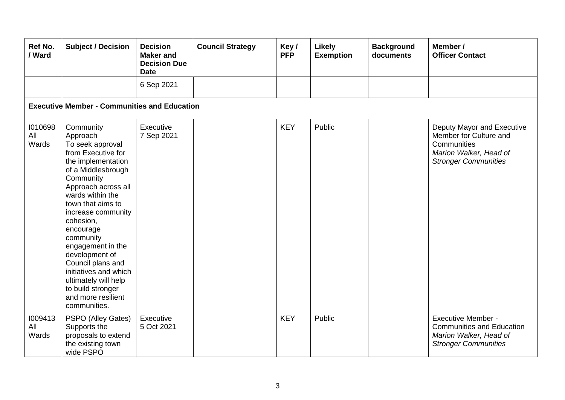| Ref No.<br>/ Ward       | <b>Subject / Decision</b>                                                                                                                                                                                                                                                                                                                                                                                                     | <b>Decision</b><br><b>Maker and</b><br><b>Decision Due</b><br><b>Date</b> | <b>Council Strategy</b> | Key/<br><b>PFP</b> | Likely<br><b>Exemption</b> | <b>Background</b><br>documents | Member /<br><b>Officer Contact</b>                                                                                           |  |  |  |  |
|-------------------------|-------------------------------------------------------------------------------------------------------------------------------------------------------------------------------------------------------------------------------------------------------------------------------------------------------------------------------------------------------------------------------------------------------------------------------|---------------------------------------------------------------------------|-------------------------|--------------------|----------------------------|--------------------------------|------------------------------------------------------------------------------------------------------------------------------|--|--|--|--|
|                         |                                                                                                                                                                                                                                                                                                                                                                                                                               | 6 Sep 2021                                                                |                         |                    |                            |                                |                                                                                                                              |  |  |  |  |
|                         | <b>Executive Member - Communities and Education</b>                                                                                                                                                                                                                                                                                                                                                                           |                                                                           |                         |                    |                            |                                |                                                                                                                              |  |  |  |  |
| 1010698<br>All<br>Wards | Community<br>Approach<br>To seek approval<br>from Executive for<br>the implementation<br>of a Middlesbrough<br>Community<br>Approach across all<br>wards within the<br>town that aims to<br>increase community<br>cohesion,<br>encourage<br>community<br>engagement in the<br>development of<br>Council plans and<br>initiatives and which<br>ultimately will help<br>to build stronger<br>and more resilient<br>communities. | Executive<br>7 Sep 2021                                                   |                         | <b>KEY</b>         | Public                     |                                | Deputy Mayor and Executive<br>Member for Culture and<br>Communities<br>Marion Walker, Head of<br><b>Stronger Communities</b> |  |  |  |  |
| 1009413<br>All<br>Wards | PSPO (Alley Gates)<br>Supports the<br>proposals to extend<br>the existing town<br>wide PSPO                                                                                                                                                                                                                                                                                                                                   | Executive<br>5 Oct 2021                                                   |                         | <b>KEY</b>         | Public                     |                                | <b>Executive Member -</b><br><b>Communities and Education</b><br>Marion Walker, Head of<br><b>Stronger Communities</b>       |  |  |  |  |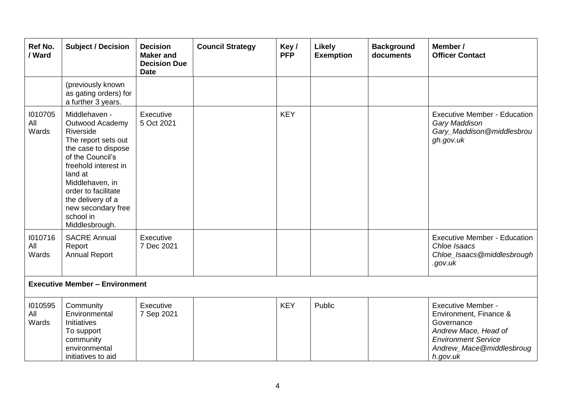| Ref No.<br>/ Ward       | <b>Subject / Decision</b>                                                                                                                                                                                                                                              | <b>Decision</b><br><b>Maker</b> and<br><b>Decision Due</b><br><b>Date</b> | <b>Council Strategy</b> | Key/<br><b>PFP</b> | Likely<br><b>Exemption</b> | <b>Background</b><br>documents | Member /<br><b>Officer Contact</b>                                                                                                                              |
|-------------------------|------------------------------------------------------------------------------------------------------------------------------------------------------------------------------------------------------------------------------------------------------------------------|---------------------------------------------------------------------------|-------------------------|--------------------|----------------------------|--------------------------------|-----------------------------------------------------------------------------------------------------------------------------------------------------------------|
|                         | (previously known<br>as gating orders) for<br>a further 3 years.                                                                                                                                                                                                       |                                                                           |                         |                    |                            |                                |                                                                                                                                                                 |
| 1010705<br>All<br>Wards | Middlehaven -<br>Outwood Academy<br>Riverside<br>The report sets out<br>the case to dispose<br>of the Council's<br>freehold interest in<br>land at<br>Middlehaven, in<br>order to facilitate<br>the delivery of a<br>new secondary free<br>school in<br>Middlesbrough. | Executive<br>5 Oct 2021                                                   |                         | <b>KEY</b>         |                            |                                | <b>Executive Member - Education</b><br>Gary Maddison<br>Gary_Maddison@middlesbrou<br>gh.gov.uk                                                                  |
| 1010716<br>All<br>Wards | <b>SACRE Annual</b><br>Report<br><b>Annual Report</b>                                                                                                                                                                                                                  | Executive<br>7 Dec 2021                                                   |                         |                    |                            |                                | <b>Executive Member - Education</b><br>Chloe Isaacs<br>Chloe_Isaacs@middlesbrough<br>.gov.uk                                                                    |
|                         | <b>Executive Member - Environment</b>                                                                                                                                                                                                                                  |                                                                           |                         |                    |                            |                                |                                                                                                                                                                 |
| 1010595<br>All<br>Wards | Community<br>Environmental<br>Initiatives<br>To support<br>community<br>environmental<br>initiatives to aid                                                                                                                                                            | Executive<br>7 Sep 2021                                                   |                         | <b>KEY</b>         | Public                     |                                | <b>Executive Member -</b><br>Environment, Finance &<br>Governance<br>Andrew Mace, Head of<br><b>Environment Service</b><br>Andrew_Mace@middlesbroug<br>h.gov.uk |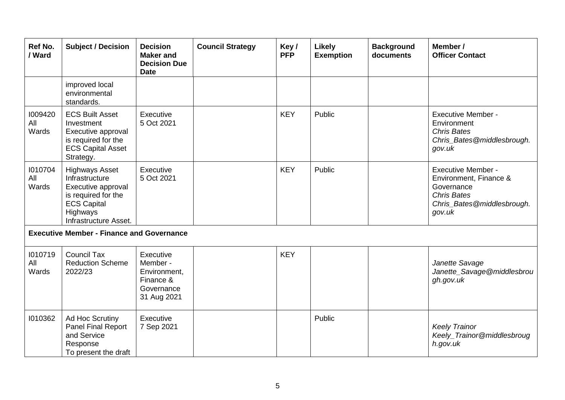| Ref No.<br>/ Ward       | <b>Subject / Decision</b>                                                                                                                       | <b>Decision</b><br><b>Maker</b> and<br><b>Decision Due</b><br><b>Date</b>       | <b>Council Strategy</b> | Key/<br><b>PFP</b> | <b>Likely</b><br><b>Exemption</b> | <b>Background</b><br>documents | Member /<br><b>Officer Contact</b>                                                                                              |
|-------------------------|-------------------------------------------------------------------------------------------------------------------------------------------------|---------------------------------------------------------------------------------|-------------------------|--------------------|-----------------------------------|--------------------------------|---------------------------------------------------------------------------------------------------------------------------------|
|                         | improved local<br>environmental<br>standards.                                                                                                   |                                                                                 |                         |                    |                                   |                                |                                                                                                                                 |
| 1009420<br>All<br>Wards | <b>ECS Built Asset</b><br>Investment<br>Executive approval<br>is required for the<br><b>ECS Capital Asset</b><br>Strategy.                      | Executive<br>5 Oct 2021                                                         |                         | <b>KEY</b>         | Public                            |                                | <b>Executive Member -</b><br>Environment<br><b>Chris Bates</b><br>Chris_Bates@middlesbrough.<br>gov.uk                          |
| 1010704<br>All<br>Wards | <b>Highways Asset</b><br>Infrastructure<br>Executive approval<br>is required for the<br><b>ECS Capital</b><br>Highways<br>Infrastructure Asset. | Executive<br>5 Oct 2021                                                         |                         | <b>KEY</b>         | Public                            |                                | <b>Executive Member -</b><br>Environment, Finance &<br>Governance<br><b>Chris Bates</b><br>Chris_Bates@middlesbrough.<br>gov.uk |
|                         | <b>Executive Member - Finance and Governance</b>                                                                                                |                                                                                 |                         |                    |                                   |                                |                                                                                                                                 |
| 1010719<br>All<br>Wards | <b>Council Tax</b><br><b>Reduction Scheme</b><br>2022/23                                                                                        | Executive<br>Member -<br>Environment,<br>Finance &<br>Governance<br>31 Aug 2021 |                         | <b>KEY</b>         |                                   |                                | Janette Savage<br>Janette_Savage@middlesbrou<br>gh.gov.uk                                                                       |
| 1010362                 | Ad Hoc Scrutiny<br>Panel Final Report<br>and Service<br>Response<br>To present the draft                                                        | Executive<br>7 Sep 2021                                                         |                         |                    | Public                            |                                | <b>Keely Trainor</b><br>Keely_Trainor@middlesbroug<br>h.gov.uk                                                                  |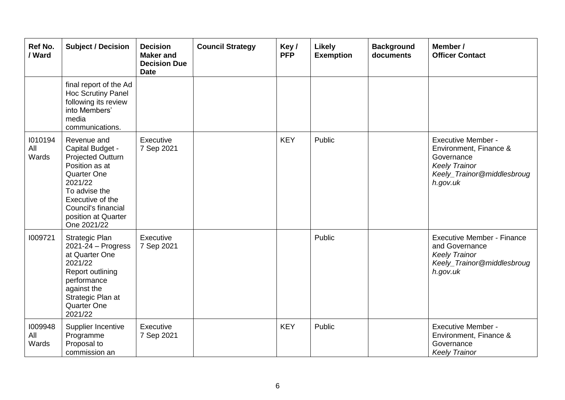| Ref No.<br>/ Ward       | <b>Subject / Decision</b>                                                                                                                                                                          | <b>Decision</b><br><b>Maker</b> and<br><b>Decision Due</b><br><b>Date</b> | <b>Council Strategy</b> | Key/<br><b>PFP</b> | Likely<br><b>Exemption</b> | <b>Background</b><br>documents | Member /<br><b>Officer Contact</b>                                                                                                  |
|-------------------------|----------------------------------------------------------------------------------------------------------------------------------------------------------------------------------------------------|---------------------------------------------------------------------------|-------------------------|--------------------|----------------------------|--------------------------------|-------------------------------------------------------------------------------------------------------------------------------------|
|                         | final report of the Ad<br>Hoc Scrutiny Panel<br>following its review<br>into Members'<br>media<br>communications.                                                                                  |                                                                           |                         |                    |                            |                                |                                                                                                                                     |
| 1010194<br>All<br>Wards | Revenue and<br>Capital Budget -<br>Projected Outturn<br>Position as at<br>Quarter One<br>2021/22<br>To advise the<br>Executive of the<br>Council's financial<br>position at Quarter<br>One 2021/22 | Executive<br>7 Sep 2021                                                   |                         | <b>KEY</b>         | Public                     |                                | <b>Executive Member -</b><br>Environment, Finance &<br>Governance<br><b>Keely Trainor</b><br>Keely_Trainor@middlesbroug<br>h.gov.uk |
| 1009721                 | <b>Strategic Plan</b><br>$2021 - 24 - Progress$<br>at Quarter One<br>2021/22<br>Report outlining<br>performance<br>against the<br>Strategic Plan at<br>Quarter One<br>2021/22                      | Executive<br>7 Sep 2021                                                   |                         |                    | Public                     |                                | <b>Executive Member - Finance</b><br>and Governance<br><b>Keely Trainor</b><br>Keely_Trainor@middlesbroug<br>h.gov.uk               |
| 1009948<br>All<br>Wards | Supplier Incentive<br>Programme<br>Proposal to<br>commission an                                                                                                                                    | Executive<br>7 Sep 2021                                                   |                         | <b>KEY</b>         | Public                     |                                | <b>Executive Member -</b><br>Environment, Finance &<br>Governance<br><b>Keely Trainor</b>                                           |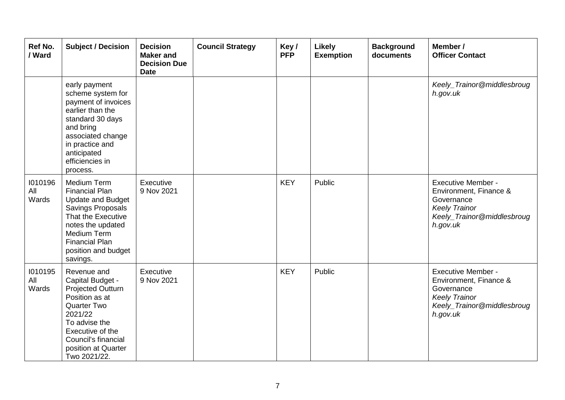| Ref No.<br>/ Ward       | <b>Subject / Decision</b>                                                                                                                                                                                          | <b>Decision</b><br><b>Maker and</b><br><b>Decision Due</b><br><b>Date</b> | <b>Council Strategy</b> | Key/<br><b>PFP</b> | Likely<br><b>Exemption</b> | <b>Background</b><br>documents | Member /<br><b>Officer Contact</b>                                                                                                  |
|-------------------------|--------------------------------------------------------------------------------------------------------------------------------------------------------------------------------------------------------------------|---------------------------------------------------------------------------|-------------------------|--------------------|----------------------------|--------------------------------|-------------------------------------------------------------------------------------------------------------------------------------|
|                         | early payment<br>scheme system for<br>payment of invoices<br>earlier than the<br>standard 30 days<br>and bring<br>associated change<br>in practice and<br>anticipated<br>efficiencies in<br>process.               |                                                                           |                         |                    |                            |                                | Keely_Trainor@middlesbroug<br>h.gov.uk                                                                                              |
| 1010196<br>All<br>Wards | Medium Term<br><b>Financial Plan</b><br><b>Update and Budget</b><br><b>Savings Proposals</b><br>That the Executive<br>notes the updated<br>Medium Term<br><b>Financial Plan</b><br>position and budget<br>savings. | Executive<br>9 Nov 2021                                                   |                         | <b>KEY</b>         | Public                     |                                | <b>Executive Member -</b><br>Environment, Finance &<br>Governance<br><b>Keely Trainor</b><br>Keely_Trainor@middlesbroug<br>h.gov.uk |
| 1010195<br>All<br>Wards | Revenue and<br>Capital Budget -<br><b>Projected Outturn</b><br>Position as at<br><b>Quarter Two</b><br>2021/22<br>To advise the<br>Executive of the<br>Council's financial<br>position at Quarter<br>Two 2021/22.  | Executive<br>9 Nov 2021                                                   |                         | <b>KEY</b>         | Public                     |                                | <b>Executive Member -</b><br>Environment, Finance &<br>Governance<br><b>Keely Trainor</b><br>Keely_Trainor@middlesbroug<br>h.gov.uk |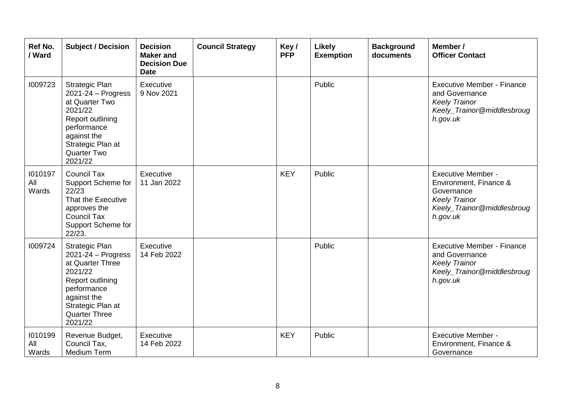| <b>Ref No.</b><br>/ Ward | <b>Subject / Decision</b>                                                                                                                                                         | <b>Decision</b><br><b>Maker and</b><br><b>Decision Due</b><br><b>Date</b> | <b>Council Strategy</b> | Key/<br><b>PFP</b> | <b>Likely</b><br><b>Exemption</b> | <b>Background</b><br>documents | Member /<br><b>Officer Contact</b>                                                                                                  |
|--------------------------|-----------------------------------------------------------------------------------------------------------------------------------------------------------------------------------|---------------------------------------------------------------------------|-------------------------|--------------------|-----------------------------------|--------------------------------|-------------------------------------------------------------------------------------------------------------------------------------|
| 1009723                  | Strategic Plan<br>$2021 - 24 - Progress$<br>at Quarter Two<br>2021/22<br>Report outlining<br>performance<br>against the<br>Strategic Plan at<br>Quarter Two<br>2021/22            | Executive<br>9 Nov 2021                                                   |                         |                    | Public                            |                                | <b>Executive Member - Finance</b><br>and Governance<br><b>Keely Trainor</b><br>Keely_Trainor@middlesbroug<br>h.gov.uk               |
| 1010197<br>All<br>Wards  | <b>Council Tax</b><br>Support Scheme for<br>22/23<br>That the Executive<br>approves the<br><b>Council Tax</b><br>Support Scheme for<br>22/23.                                     | Executive<br>11 Jan 2022                                                  |                         | <b>KEY</b>         | Public                            |                                | <b>Executive Member -</b><br>Environment, Finance &<br>Governance<br><b>Keely Trainor</b><br>Keely_Trainor@middlesbroug<br>h.gov.uk |
| 1009724                  | Strategic Plan<br>$2021 - 24 - Progress$<br>at Quarter Three<br>2021/22<br>Report outlining<br>performance<br>against the<br>Strategic Plan at<br><b>Quarter Three</b><br>2021/22 | Executive<br>14 Feb 2022                                                  |                         |                    | Public                            |                                | <b>Executive Member - Finance</b><br>and Governance<br><b>Keely Trainor</b><br>Keely_Trainor@middlesbroug<br>h.gov.uk               |
| 1010199<br>All<br>Wards  | Revenue Budget,<br>Council Tax,<br>Medium Term                                                                                                                                    | Executive<br>14 Feb 2022                                                  |                         | <b>KEY</b>         | Public                            |                                | <b>Executive Member -</b><br>Environment, Finance &<br>Governance                                                                   |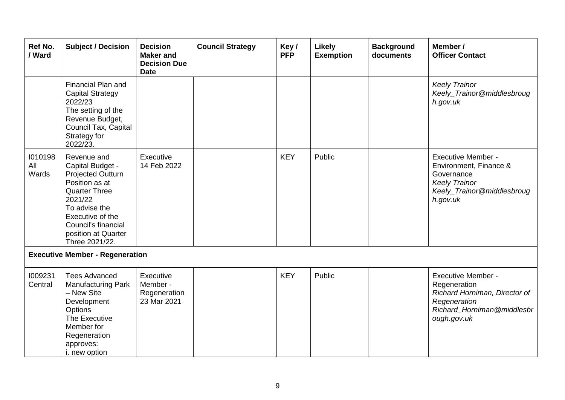| Ref No.<br>/ Ward       | <b>Subject / Decision</b>                                                                                                                                                                                             | <b>Decision</b><br><b>Maker</b> and<br><b>Decision Due</b><br><b>Date</b> | <b>Council Strategy</b> | Key/<br><b>PFP</b> | <b>Likely</b><br><b>Exemption</b> | <b>Background</b><br>documents | Member /<br><b>Officer Contact</b>                                                                                                  |
|-------------------------|-----------------------------------------------------------------------------------------------------------------------------------------------------------------------------------------------------------------------|---------------------------------------------------------------------------|-------------------------|--------------------|-----------------------------------|--------------------------------|-------------------------------------------------------------------------------------------------------------------------------------|
|                         | Financial Plan and<br><b>Capital Strategy</b><br>2022/23<br>The setting of the<br>Revenue Budget,<br>Council Tax, Capital<br>Strategy for<br>2022/23.                                                                 |                                                                           |                         |                    |                                   |                                | <b>Keely Trainor</b><br>Keely_Trainor@middlesbroug<br>h.gov.uk                                                                      |
| 1010198<br>All<br>Wards | Revenue and<br>Capital Budget -<br><b>Projected Outturn</b><br>Position as at<br><b>Quarter Three</b><br>2021/22<br>To advise the<br>Executive of the<br>Council's financial<br>position at Quarter<br>Three 2021/22. | Executive<br>14 Feb 2022                                                  |                         | <b>KEY</b>         | Public                            |                                | <b>Executive Member -</b><br>Environment, Finance &<br>Governance<br><b>Keely Trainor</b><br>Keely_Trainor@middlesbroug<br>h.gov.uk |
|                         | <b>Executive Member - Regeneration</b>                                                                                                                                                                                |                                                                           |                         |                    |                                   |                                |                                                                                                                                     |
| 1009231<br>Central      | <b>Tees Advanced</b><br><b>Manufacturing Park</b><br>- New Site<br>Development<br>Options<br>The Executive<br>Member for<br>Regeneration<br>approves:<br>i. new option                                                | Executive<br>Member -<br>Regeneration<br>23 Mar 2021                      |                         | <b>KEY</b>         | Public                            |                                | Executive Member -<br>Regeneration<br>Richard Horniman, Director of<br>Regeneration<br>Richard_Horniman@middlesbr<br>ough.gov.uk    |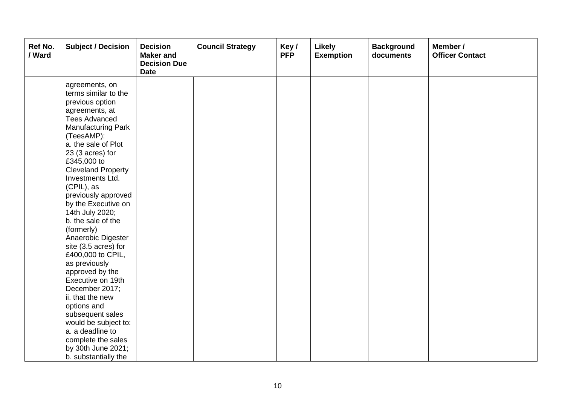| Ref No.<br>/ Ward | <b>Subject / Decision</b>              | <b>Decision</b><br><b>Maker and</b><br><b>Decision Due</b><br><b>Date</b> | <b>Council Strategy</b> | Key/<br><b>PFP</b> | <b>Likely</b><br><b>Exemption</b> | <b>Background</b><br>documents | Member /<br><b>Officer Contact</b> |
|-------------------|----------------------------------------|---------------------------------------------------------------------------|-------------------------|--------------------|-----------------------------------|--------------------------------|------------------------------------|
|                   | agreements, on<br>terms similar to the |                                                                           |                         |                    |                                   |                                |                                    |
|                   | previous option                        |                                                                           |                         |                    |                                   |                                |                                    |
|                   | agreements, at                         |                                                                           |                         |                    |                                   |                                |                                    |
|                   | <b>Tees Advanced</b>                   |                                                                           |                         |                    |                                   |                                |                                    |
|                   | <b>Manufacturing Park</b>              |                                                                           |                         |                    |                                   |                                |                                    |
|                   | (TeesAMP):                             |                                                                           |                         |                    |                                   |                                |                                    |
|                   | a. the sale of Plot                    |                                                                           |                         |                    |                                   |                                |                                    |
|                   | 23 (3 acres) for                       |                                                                           |                         |                    |                                   |                                |                                    |
|                   | £345,000 to                            |                                                                           |                         |                    |                                   |                                |                                    |
|                   | <b>Cleveland Property</b>              |                                                                           |                         |                    |                                   |                                |                                    |
|                   | Investments Ltd.                       |                                                                           |                         |                    |                                   |                                |                                    |
|                   | (CPIL), as                             |                                                                           |                         |                    |                                   |                                |                                    |
|                   | previously approved                    |                                                                           |                         |                    |                                   |                                |                                    |
|                   | by the Executive on<br>14th July 2020; |                                                                           |                         |                    |                                   |                                |                                    |
|                   | b. the sale of the                     |                                                                           |                         |                    |                                   |                                |                                    |
|                   | (formerly)                             |                                                                           |                         |                    |                                   |                                |                                    |
|                   | Anaerobic Digester                     |                                                                           |                         |                    |                                   |                                |                                    |
|                   | site (3.5 acres) for                   |                                                                           |                         |                    |                                   |                                |                                    |
|                   | £400,000 to CPIL,                      |                                                                           |                         |                    |                                   |                                |                                    |
|                   | as previously                          |                                                                           |                         |                    |                                   |                                |                                    |
|                   | approved by the                        |                                                                           |                         |                    |                                   |                                |                                    |
|                   | Executive on 19th                      |                                                                           |                         |                    |                                   |                                |                                    |
|                   | December 2017;                         |                                                                           |                         |                    |                                   |                                |                                    |
|                   | ii. that the new                       |                                                                           |                         |                    |                                   |                                |                                    |
|                   | options and                            |                                                                           |                         |                    |                                   |                                |                                    |
|                   | subsequent sales                       |                                                                           |                         |                    |                                   |                                |                                    |
|                   | would be subject to:                   |                                                                           |                         |                    |                                   |                                |                                    |
|                   | a. a deadline to                       |                                                                           |                         |                    |                                   |                                |                                    |
|                   | complete the sales                     |                                                                           |                         |                    |                                   |                                |                                    |
|                   | by 30th June 2021;                     |                                                                           |                         |                    |                                   |                                |                                    |
|                   | b. substantially the                   |                                                                           |                         |                    |                                   |                                |                                    |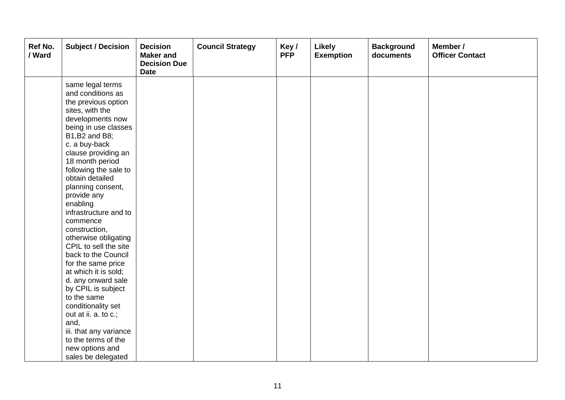| Ref No.<br>/ Ward | <b>Subject / Decision</b>                                                                                                                                                                                                                                                                                                                                                                                                                                                                                                                                                                                                                                             | <b>Decision</b><br><b>Maker</b> and<br><b>Decision Due</b><br><b>Date</b> | <b>Council Strategy</b> | Key/<br><b>PFP</b> | <b>Likely</b><br><b>Exemption</b> | <b>Background</b><br>documents | Member /<br><b>Officer Contact</b> |
|-------------------|-----------------------------------------------------------------------------------------------------------------------------------------------------------------------------------------------------------------------------------------------------------------------------------------------------------------------------------------------------------------------------------------------------------------------------------------------------------------------------------------------------------------------------------------------------------------------------------------------------------------------------------------------------------------------|---------------------------------------------------------------------------|-------------------------|--------------------|-----------------------------------|--------------------------------|------------------------------------|
|                   | same legal terms<br>and conditions as<br>the previous option<br>sites, with the<br>developments now<br>being in use classes<br>B1, B2 and B8;<br>c. a buy-back<br>clause providing an<br>18 month period<br>following the sale to<br>obtain detailed<br>planning consent,<br>provide any<br>enabling<br>infrastructure and to<br>commence<br>construction,<br>otherwise obligating<br>CPIL to sell the site<br>back to the Council<br>for the same price<br>at which it is sold;<br>d. any onward sale<br>by CPIL is subject<br>to the same<br>conditionality set<br>out at ii. a. to c.;<br>and,<br>iii. that any variance<br>to the terms of the<br>new options and |                                                                           |                         |                    |                                   |                                |                                    |
|                   | sales be delegated                                                                                                                                                                                                                                                                                                                                                                                                                                                                                                                                                                                                                                                    |                                                                           |                         |                    |                                   |                                |                                    |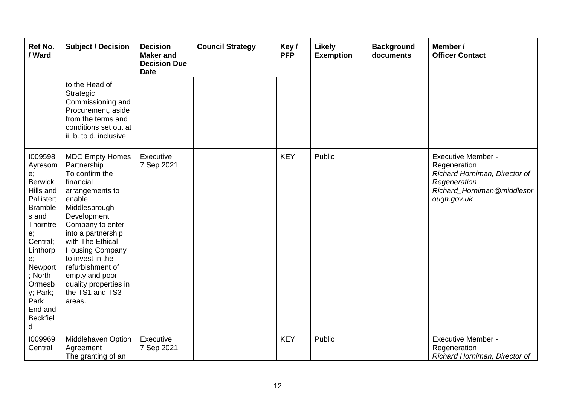| Ref No.<br>/ Ward                                                                                                                                                                                                                       | <b>Subject / Decision</b>                                                                                                                                                                                                                                                                                                                 | <b>Decision</b><br><b>Maker</b> and<br><b>Decision Due</b><br><b>Date</b> | <b>Council Strategy</b> | Key/<br><b>PFP</b> | <b>Likely</b><br><b>Exemption</b> | <b>Background</b><br>documents | Member /<br><b>Officer Contact</b>                                                                                                      |
|-----------------------------------------------------------------------------------------------------------------------------------------------------------------------------------------------------------------------------------------|-------------------------------------------------------------------------------------------------------------------------------------------------------------------------------------------------------------------------------------------------------------------------------------------------------------------------------------------|---------------------------------------------------------------------------|-------------------------|--------------------|-----------------------------------|--------------------------------|-----------------------------------------------------------------------------------------------------------------------------------------|
|                                                                                                                                                                                                                                         | to the Head of<br>Strategic<br>Commissioning and<br>Procurement, aside<br>from the terms and<br>conditions set out at<br>ii. b. to d. inclusive.                                                                                                                                                                                          |                                                                           |                         |                    |                                   |                                |                                                                                                                                         |
| 1009598<br>Ayresom<br>e;<br><b>Berwick</b><br>Hills and<br>Pallister;<br><b>Bramble</b><br>s and<br>Thorntre<br>e;<br>Central;<br>Linthorp<br>e;<br>Newport<br>; North<br>Ormesb<br>y; Park;<br>Park<br>End and<br><b>Beckfiel</b><br>d | <b>MDC Empty Homes</b><br>Partnership<br>To confirm the<br>financial<br>arrangements to<br>enable<br>Middlesbrough<br>Development<br>Company to enter<br>into a partnership<br>with The Ethical<br><b>Housing Company</b><br>to invest in the<br>refurbishment of<br>empty and poor<br>quality properties in<br>the TS1 and TS3<br>areas. | Executive<br>7 Sep 2021                                                   |                         | <b>KEY</b>         | Public                            |                                | <b>Executive Member -</b><br>Regeneration<br>Richard Horniman, Director of<br>Regeneration<br>Richard Horniman@middlesbr<br>ough.gov.uk |
| 1009969<br>Central                                                                                                                                                                                                                      | Middlehaven Option<br>Agreement<br>The granting of an                                                                                                                                                                                                                                                                                     | Executive<br>7 Sep 2021                                                   |                         | <b>KEY</b>         | Public                            |                                | <b>Executive Member -</b><br>Regeneration<br>Richard Horniman, Director of                                                              |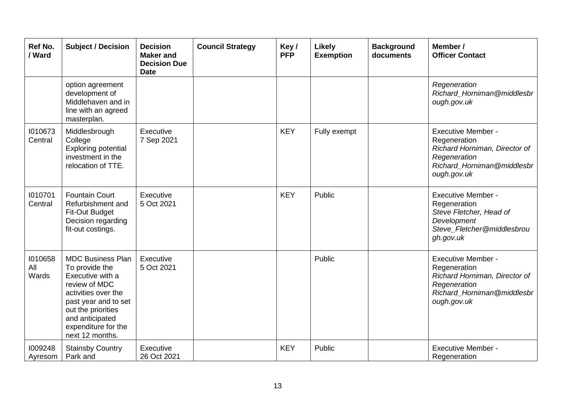| Ref No.<br>/ Ward       | <b>Subject / Decision</b>                                                                                                                                                                                         | <b>Decision</b><br><b>Maker</b> and<br><b>Decision Due</b><br><b>Date</b> | <b>Council Strategy</b> | Key/<br><b>PFP</b> | <b>Likely</b><br><b>Exemption</b> | <b>Background</b><br>documents | Member /<br><b>Officer Contact</b>                                                                                                      |
|-------------------------|-------------------------------------------------------------------------------------------------------------------------------------------------------------------------------------------------------------------|---------------------------------------------------------------------------|-------------------------|--------------------|-----------------------------------|--------------------------------|-----------------------------------------------------------------------------------------------------------------------------------------|
|                         | option agreement<br>development of<br>Middlehaven and in<br>line with an agreed<br>masterplan.                                                                                                                    |                                                                           |                         |                    |                                   |                                | Regeneration<br>Richard Horniman@middlesbr<br>ough.gov.uk                                                                               |
| 1010673<br>Central      | Middlesbrough<br>College<br><b>Exploring potential</b><br>investment in the<br>relocation of TTE.                                                                                                                 | Executive<br>7 Sep 2021                                                   |                         | <b>KEY</b>         | Fully exempt                      |                                | <b>Executive Member -</b><br>Regeneration<br>Richard Horniman, Director of<br>Regeneration<br>Richard Horniman@middlesbr<br>ough.gov.uk |
| 1010701<br>Central      | <b>Fountain Court</b><br>Refurbishment and<br>Fit-Out Budget<br>Decision regarding<br>fit-out costings.                                                                                                           | Executive<br>5 Oct 2021                                                   |                         | <b>KEY</b>         | Public                            |                                | <b>Executive Member -</b><br>Regeneration<br>Steve Fletcher, Head of<br>Development<br>Steve_Fletcher@middlesbrou<br>gh.gov.uk          |
| 1010658<br>All<br>Wards | <b>MDC Business Plan</b><br>To provide the<br>Executive with a<br>review of MDC<br>activities over the<br>past year and to set<br>out the priorities<br>and anticipated<br>expenditure for the<br>next 12 months. | Executive<br>5 Oct 2021                                                   |                         |                    | Public                            |                                | <b>Executive Member -</b><br>Regeneration<br>Richard Horniman, Director of<br>Regeneration<br>Richard_Horniman@middlesbr<br>ough.gov.uk |
| 1009248<br>Ayresom      | <b>Stainsby Country</b><br>Park and                                                                                                                                                                               | Executive<br>26 Oct 2021                                                  |                         | <b>KEY</b>         | Public                            |                                | <b>Executive Member -</b><br>Regeneration                                                                                               |